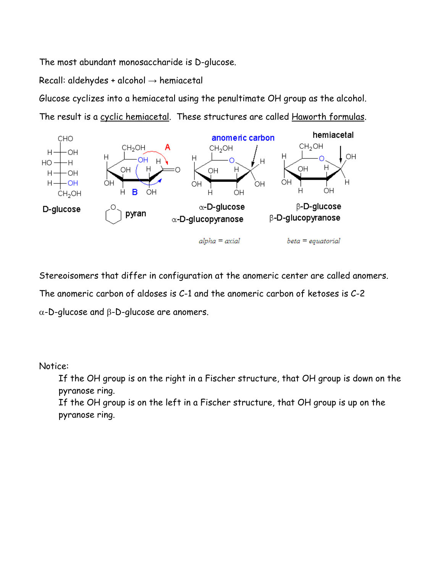The most abundant monosaccharide is D-glucose.

Recall: aldehydes + alcohol  $\rightarrow$  hemiacetal

Glucose cyclizes into a hemiacetal using the penultimate OH group as the alcohol. The result is a cyclic hemiacetal. These structures are called Haworth formulas.



Stereoisomers that differ in configuration at the anomeric center are called anomers.

The anomeric carbon of aldoses is C-1 and the anomeric carbon of ketoses is C-2

α-D-glucose and β-D-glucose are anomers.

Notice:

If the OH group is on the right in a Fischer structure, that OH group is down on the pyranose ring.

If the OH group is on the left in a Fischer structure, that OH group is up on the pyranose ring.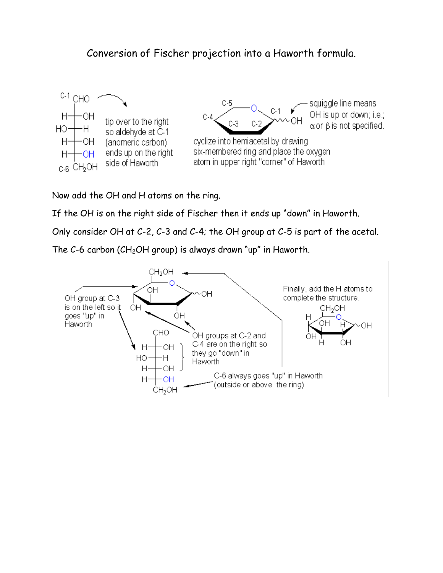## Conversion of Fischer projection into a Haworth formula.



Now add the OH and H atoms on the ring.

If the OH is on the right side of Fischer then it ends up "down" in Haworth.

Only consider OH at C-2, C-3 and C-4; the OH group at C-5 is part of the acetal.

The C-6 carbon (CH<sub>2</sub>OH group) is always drawn "up" in Haworth.

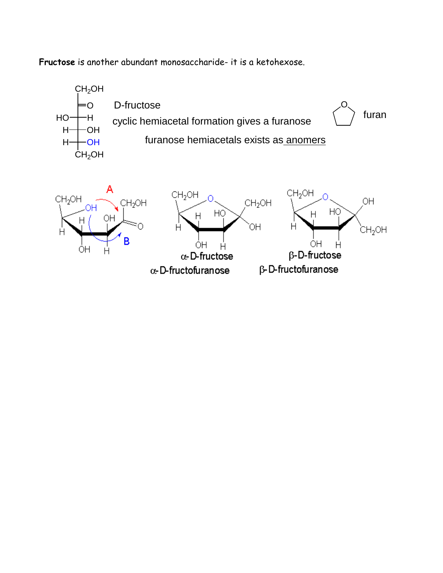**Fructose** is another abundant monosaccharide- it is a ketohexose.



Ĥ α-D-fructose α-D-fructofuranose

OН